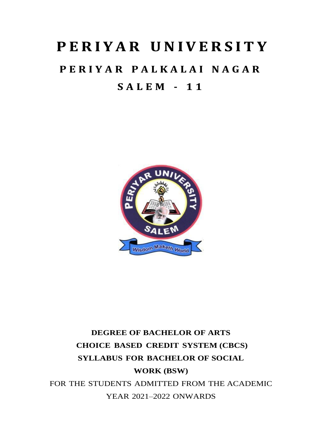# **P ERI Y AR UNIV ERS IT Y**

# **P E R I Y A R P A L K A L A I N A G A R S A L E M - 1 1**



# **DEGREE OF BACHELOR OF ARTS CHOICE BASED CREDIT SYSTEM (CBCS) SYLLABUS FOR BACHELOR OF SOCIAL WORK (BSW)** FOR THE STUDENTS ADMITTED FROM THE ACADEMIC YEAR 2021–2022 ONWARDS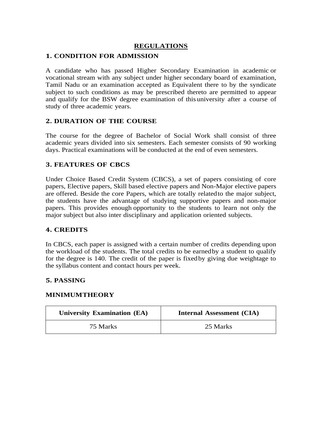# **REGULATIONS**

# **1. CONDITION FOR ADMISSION**

A candidate who has passed Higher Secondary Examination in academic or vocational stream with any subject under higher secondary board of examination, Tamil Nadu or an examination accepted as Equivalent there to by the syndicate subject to such conditions as may be prescribed thereto are permitted to appear and qualify for the BSW degree examination of this university after a course of study of three academic years.

## **2. DURATION OF THE COURSE**

The course for the degree of Bachelor of Social Work shall consist of three academic years divided into six semesters. Each semester consists of 90 working days. Practical examinations will be conducted at the end of even semesters.

# **3. FEATURES OF CBCS**

Under Choice Based Credit System (CBCS), a set of papers consisting of core papers, Elective papers, Skill based elective papers and Non-Major elective papers are offered. Beside the core Papers, which are totally relatedto the major subject, the students have the advantage of studying supportive papers and non-major papers. This provides enough opportunity to the students to learn not only the major subject but also inter disciplinary and application oriented subjects.

# **4. CREDITS**

In CBCS, each paper is assigned with a certain number of credits depending upon the workload of the students. The total credits to be earnedby a student to qualify for the degree is 140. The credit of the paper is fixedby giving due weightage to the syllabus content and contact hours per week.

# **5. PASSING**

# **MINIMUMTHEORY**

| <b>University Examination (EA)</b> | <b>Internal Assessment (CIA)</b> |
|------------------------------------|----------------------------------|
| 75 Marks                           | 25 Marks                         |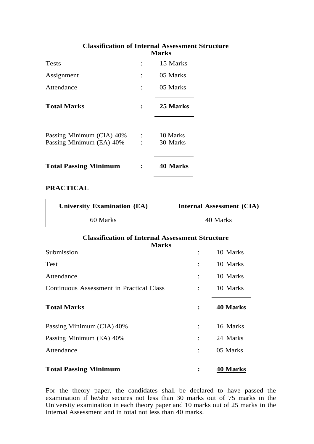# **Classification of Internal Assessment Structure Marks**

| <b>Tests</b>                                          | 15 Marks             |
|-------------------------------------------------------|----------------------|
| Assignment                                            | 05 Marks             |
| Attendance                                            | 05 Marks             |
| <b>Total Marks</b>                                    | 25 Marks             |
| Passing Minimum (CIA) 40%<br>Passing Minimum (EA) 40% | 10 Marks<br>30 Marks |
| <b>Total Passing Minimum</b>                          | 40 Marks             |

## **PRACTICAL**

| <b>University Examination (EA)</b> | <b>Internal Assessment (CIA)</b> |
|------------------------------------|----------------------------------|
| 60 Marks                           | 40 Marks                         |

#### **Classification of Internal Assessment Structure Marks**

| Submission                               |                | 10 Marks        |
|------------------------------------------|----------------|-----------------|
| Test                                     | $\ddot{\cdot}$ | 10 Marks        |
| Attendance                               | $\ddot{\cdot}$ | 10 Marks        |
| Continuous Assessment in Practical Class |                | 10 Marks        |
| <b>Total Marks</b>                       | $\ddot{\cdot}$ | <b>40 Marks</b> |
| Passing Minimum (CIA) 40%                | $\ddot{\cdot}$ | 16 Marks        |
| Passing Minimum (EA) 40%                 | $\ddot{\cdot}$ | 24 Marks        |
| Attendance                               |                | 05 Marks        |
| <b>Total Passing Minimum</b>             |                | <b>40 Marks</b> |

For the theory paper, the candidates shall be declared to have passed the examination if he/she secures not less than 30 marks out of 75 marks in the University examination in each theory paper and 10 marks out of 25 marks in the Internal Assessment and in total not less than 40 marks.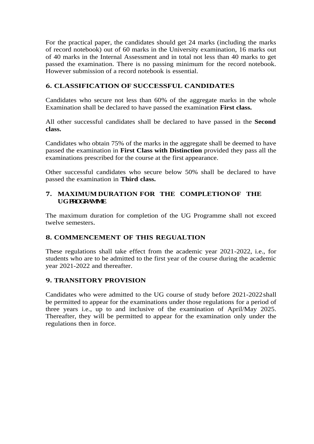For the practical paper, the candidates should get 24 marks (including the marks of record notebook) out of 60 marks in the University examination, 16 marks out of 40 marks in the Internal Assessment and in total not less than 40 marks to get passed the examination. There is no passing minimum for the record notebook. However submission of a record notebook is essential.

# **6. CLASSIFICATION OF SUCCESSFUL CANDIDATES**

Candidates who secure not less than 60% of the aggregate marks in the whole Examination shall be declared to have passed the examination **First class.**

All other successful candidates shall be declared to have passed in the **Second class.**

Candidates who obtain 75% of the marks in the aggregate shall be deemed to have passed the examination in **First Class with Distinction** provided they pass all the examinations prescribed for the course at the first appearance.

Other successful candidates who secure below 50% shall be declared to have passed the examination in **Third class.**

# **7. MAXIMUM DURATION FOR THE COMPLETIONOF THE UGPROGRAMME**

The maximum duration for completion of the UG Programme shall not exceed twelve semesters.

# **8. COMMENCEMENT OF THIS REGUALTION**

These regulations shall take effect from the academic year 2021-2022, i.e., for students who are to be admitted to the first year of the course during the academic year 2021-2022 and thereafter.

# **9. TRANSITORY PROVISION**

Candidates who were admitted to the UG course of study before 2021-2022shall be permitted to appear for the examinations under those regulations for a period of three years i.e., up to and inclusive of the examination of April/May 2025. Thereafter, they will be permitted to appear for the examination only under the regulations then in force.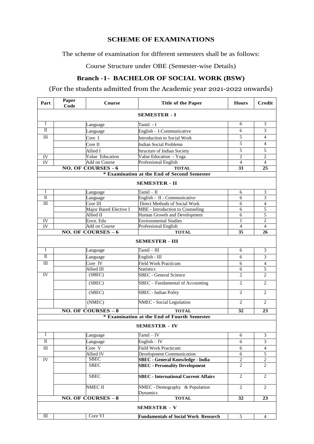# **SCHEME OF EXAMINATIONS**

The scheme of examination for different semesters shall be as follows:

Course Structure under OBE (Semester-wise Details)

# **Branch -I- BACHELOR OF SOCIAL WORK (BSW)**

# (For the students admitted from the Academic year 2021-2022 onwards)

| Part                    | Paper<br>Code | Course                                | <b>Title of the Paper</b>                   | <b>Hours</b>   | <b>Credit</b>           |
|-------------------------|---------------|---------------------------------------|---------------------------------------------|----------------|-------------------------|
| <b>SEMESTER - I</b>     |               |                                       |                                             |                |                         |
| $\bf{I}$                |               | Language                              | Tamil - I                                   | 6              | 3                       |
| П                       |               | Language                              | English - I-Communicative                   | 6              | 3                       |
| Ш                       |               | Core I                                | <b>Introduction to Social Work</b>          | 5              | 4                       |
|                         |               | Core II                               | <b>Indian Social Problems</b>               | 5              | $\overline{4}$          |
|                         |               | Allied I                              | <b>Structure of Indian Society</b>          | 5              | 5                       |
| IV                      |               | Value Education                       | Value Education - Yoga                      | $\overline{2}$ | $\overline{c}$          |
| IV                      |               | <b>Add on Course</b>                  | <b>Professional English</b>                 | $\overline{4}$ | 4                       |
|                         |               | <b>NO. OF COURSES - 6</b>             | <b>TOTAL</b>                                | 33             | 25                      |
|                         |               |                                       | * Examination at the End of Second Semester |                |                         |
|                         |               |                                       | <b>SEMESTER - II</b>                        |                |                         |
| I                       |               | Language                              | Tamil – II                                  | 6              | 3                       |
| $\overline{\mathbf{u}}$ |               | Language                              | English - II - Communicative                | 6              | $\overline{3}$          |
| III                     |               | Core III                              | Direct Methods of Social Work               | 6              | $\overline{\mathbf{4}}$ |
|                         |               | Major Based Elective I                | MBE - Introduction to Counseling            | 6              | 5                       |
|                         |               | Allied II                             | Human Growth and Development                | 6              | 5                       |
| IV                      |               | Envn. Edu                             | <b>Environmental Studies</b>                | 1              | $\overline{c}$          |
| IV                      |               | <b>Add on Course</b>                  | <b>Professional English</b>                 | $\overline{4}$ | $\overline{4}$          |
|                         |               | <b>NO. OF COURSES <math>-6</math></b> | <b>TOTAL</b>                                | 35             | 26                      |
|                         |               |                                       | <b>SEMESTER - III</b>                       |                |                         |
| Ι                       |               | Language                              | $Tamil - III$                               | 6              | 3                       |
| $_{\rm II}$             |               | Language                              | English - $III$                             | 6              | 3                       |
| III                     |               | Core IV                               | <b>Field Work Practicum</b>                 | 6              | $\overline{4}$          |
|                         |               | Allied III                            | <b>Statistics</b>                           | 6              | $\overline{5}$          |
| IV                      |               | (SBEC)                                | <b>SBEC</b> - General Science               | $\overline{c}$ | $\overline{c}$          |
|                         |               | (SBEC)                                | SBEC - Fundamental of Accounting            | $\overline{c}$ | $\overline{c}$          |
|                         |               | (SBEC)                                | <b>SBEC</b> - Indian Polity                 | $\overline{2}$ | $\overline{c}$          |
|                         |               | (NMEC)                                | NMEC - Social Legislation                   | $\overline{c}$ | 2                       |
|                         |               | $NO. OF COURSES - 8$                  | <b>TOTAL</b>                                | 32             | 23                      |
|                         |               |                                       | * Examination at the End of Fourth Semester |                |                         |
|                         |               |                                       | <b>SEMESTER - IV</b>                        |                |                         |
| I                       |               | Language                              | $Tamil - IV$                                | 6              | $\mathfrak{Z}$          |
| $\overline{\mathbf{u}}$ |               | Language                              | $English - IV$                              | 6              | 3                       |
| $\rm III$               |               | Core V                                | <b>Field Work Practicum</b>                 | 6              | $\overline{4}$          |
|                         |               | Allied IV                             | Development Communication                   | 6              | 5                       |
| $\overline{IV}$         |               | <b>SBEC</b>                           | <b>SBEC</b> - General Knowledge - India     | $\sqrt{2}$     | $\sqrt{2}$              |
|                         |               | <b>SBEC</b>                           | <b>SBEC</b> - Personality Development       | $\overline{c}$ | $\overline{c}$          |
|                         |               | <b>SBEC</b>                           | <b>SBEC</b> - International Current Affairs | $\overline{2}$ | $\overline{2}$          |
|                         |               | NMEC II                               | NMEC - Demography & Population<br>Dynamics  | $\overline{2}$ | $\overline{2}$          |
|                         |               | $NO. OF COURSES - 8$                  | <b>TOTAL</b>                                | 32             | 23                      |
| <b>SEMESTER - V</b>     |               |                                       |                                             |                |                         |
| Ш                       |               | Core VI                               | <b>Fundamentals of Social Work Research</b> | $\mathfrak{S}$ | 4                       |
|                         |               |                                       |                                             |                |                         |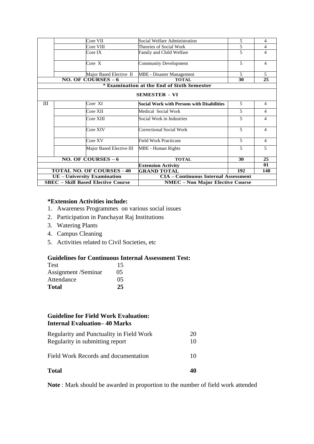|                             | Core VII                                  | Social Welfare Administration               | 5                        | 4              |
|-----------------------------|-------------------------------------------|---------------------------------------------|--------------------------|----------------|
|                             | Core VIII                                 | Theories of Social Work                     | 5                        | 4              |
|                             | Core IX                                   | Family and Child Welfare                    | 5                        | 4              |
|                             | Core X                                    | <b>Community Development</b>                | 5                        | 4              |
|                             | Major Based Elective II                   | <b>MBE</b> - Disaster Management            | 5                        | 5              |
|                             | $NO. OF COURSES - 6$                      | <b>TOTAL</b>                                | 30                       | 25             |
|                             |                                           | * Examination at the End of Sixth Semester  |                          |                |
|                             |                                           | <b>SEMESTER - VI</b>                        |                          |                |
| Ш                           | Core XI                                   | Social Work with Persons with Disabilities  | $\overline{\phantom{0}}$ | 4              |
|                             | Core XII                                  | Medical Social Work                         | $\overline{5}$           | 4              |
|                             | Core XIII                                 | Social Work in Industries                   | $\overline{5}$           | 4              |
|                             | Core XIV                                  | Correctional Social Work                    | 5                        | 4              |
|                             | Core XV                                   | Field Work Practicum                        | 5                        | $\overline{4}$ |
|                             | Major Based Elective III                  | <b>MBE</b> - Human Rights                   | 5                        | 5              |
|                             | <b>NO. OF COURSES <math>-6</math></b>     | <b>TOTAL</b>                                | 30                       | 25             |
|                             |                                           | <b>Extension Activity</b>                   |                          | 01             |
|                             | <b>TOTAL NO. OF COURSES - 40</b>          | <b>GRAND TOTAL</b>                          | 192                      | 148            |
| UE - University Examination |                                           | <b>CIA - Continuous Internal Assessment</b> |                          |                |
|                             | <b>SBEC</b> – Skill Based Elective Course | <b>NMEC</b> – Non Major Elective Course     |                          |                |

#### **\*Extension Activities include:**

- 1. Awareness Programmes on various social issues
- 2. Participation in Panchayat Raj Institutions
- 3. Watering Plants
- 4. Campus Cleaning
- 5. Activities related to Civil Societies, etc

## **Guidelines for Continuous Internal Assessment Test:**

| <b>Test</b>         | 15 |
|---------------------|----|
| Assignment /Seminar | 05 |
| Attendance          | 05 |
| <b>Total</b>        | 25 |

# **Guideline for Field Work Evaluation: Internal Evaluation– 40 Marks**

| <b>Total</b>                                                                | 40       |
|-----------------------------------------------------------------------------|----------|
| Field Work Records and documentation                                        | 10       |
| Regularity and Punctuality in Field Work<br>Regularity in submitting report | 20<br>10 |

**Note** : Mark should be awarded in proportion to the number of field work attended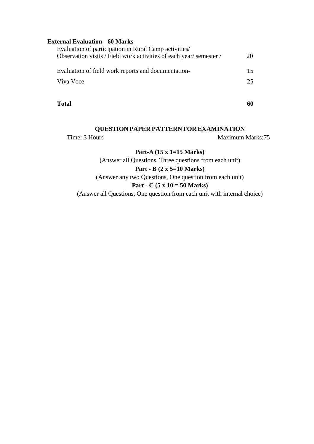# **External Evaluation - 60 Marks**

|           | Evaluation of participation in Rural Camp activities/              |    |
|-----------|--------------------------------------------------------------------|----|
|           | Observation visits / Field work activities of each year/semester / | 20 |
|           |                                                                    |    |
|           | Evaluation of field work reports and documentation-                | 15 |
| Viva Voce |                                                                    | 25 |
|           |                                                                    |    |
|           |                                                                    |    |

**Total 60**

#### **QUESTION PAPER PATTERN FOR EXAMINATION**

Time: 3 Hours Maximum Marks:75

# **Part-A (15 x 1=15 Marks)**

(Answer all Questions, Three questions from each unit)

## **Part - B (2 x 5=10 Marks)**

(Answer any two Questions, One question from each unit)

# **Part - C (5 x 10 = 50 Marks)**

(Answer all Questions, One question from each unit with internal choice)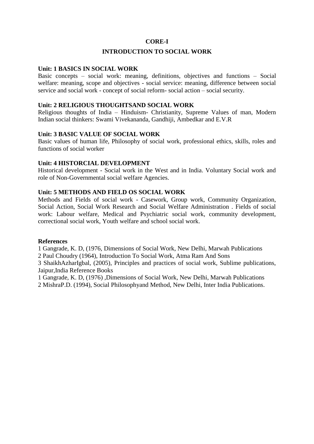## **CORE-I**

## **INTRODUCTION TO SOCIAL WORK**

#### **Unit: 1 BASICS IN SOCIAL WORK**

Basic concepts – social work: meaning, definitions, objectives and functions – Social welfare: meaning, scope and objectives - social service: meaning, difference between social service and social work - concept of social reform- social action – social security.

#### **Unit: 2 RELIGIOUS THOUGHTSAND SOCIAL WORK**

Religious thoughts of India – Hinduism- Christianity, Supreme Values of man, Modern Indian social thinkers: Swami Vivekananda, Gandhiji, Ambedkar and E.V.R

#### **Unit: 3 BASIC VALUE OF SOCIAL WORK**

Basic values of human life, Philosophy of social work, professional ethics, skills, roles and functions of social worker

#### **Unit: 4 HISTORCIAL DEVELOPMENT**

Historical development - Social work in the West and in India. Voluntary Social work and role of Non-Governmental social welfare Agencies.

#### **Unit: 5 METHODS AND FIELD OS SOCIAL WORK**

Methods and Fields of social work - Casework, Group work, Community Organization, Social Action, Social Work Research and Social Welfare Administration . Fields of social work: Labour welfare, Medical and Psychiatric social work, community development, correctional social work, Youth welfare and school social work.

#### **References**

1 Gangrade, K. D, (1976, Dimensions of Social Work, New Delhi, Marwah Publications

2 Paul Choudry (1964), Introduction To Social Work, Atma Ram And Sons

3 ShaikhAzharIgbal, (2005), Principles and practices of social work, Sublime publications, Jaipur,India Reference Books

1 Gangrade, K. D, (1976) ,Dimensions of Social Work, New Delhi, Marwah Publications

2 MishraP.D. (1994), Social Philosophyand Method, New Delhi, Inter India Publications.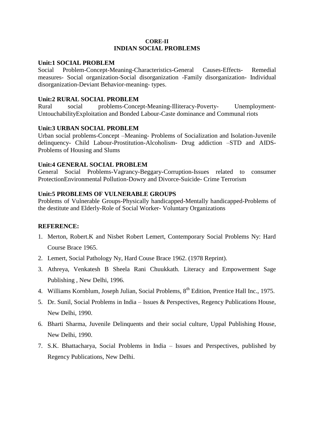#### **CORE-II INDIAN SOCIAL PROBLEMS**

#### **Unit:1 SOCIAL PROBLEM**

Social Problem-Concept-Meaning-Characteristics-General Causes-Effects- Remedial measures- Social organization-Social disorganization -Family disorganization- Individual disorganization-Deviant Behavior-meaning- types.

## **Unit:2 RURAL SOCIAL PROBLEM**

Rural social problems-Concept-Meaning-Illiteracy-Poverty- Unemployment-UntouchabilityExploitation and Bonded Labour-Caste dominance and Communal riots

## **Unit:3 URBAN SOCIAL PROBLEM**

Urban social problems-Concept –Meaning- Problems of Socialization and Isolation-Juvenile delinquency- Child Labour-Prostitution-Alcoholism- Drug addiction –STD and AIDS-Problems of Housing and Slums

## **Unit:4 GENERAL SOCIAL PROBLEM**

General Social Problems-Vagrancy-Beggary-Corruption-Issues related to consumer ProtectionEnvironmental Pollution-Dowry and Divorce-Suicide- Crime Terrorism

## **Unit:5 PROBLEMS OF VULNERABLE GROUPS**

Problems of Vulnerable Groups-Physically handicapped-Mentally handicapped-Problems of the destitute and Elderly-Role of Social Worker- Voluntary Organizations

# **REFERENCE:**

- 1. Merton, Robert.K and Nisbet Robert Lemert, Contemporary Social Problems Ny: Hard Course Brace 1965.
- 2. Lemert, Social Pathology Ny, Hard Couse Brace 1962. (1978 Reprint).
- 3. Athreya, Venkatesh B Sheela Rani Chuukkath. Literacy and Empowerment Sage Publishing , New Delhi, 1996.
- 4. Williams Kornblum, Joseph Julian, Social Problems, 8<sup>th</sup> Edition, Prentice Hall Inc., 1975.
- 5. Dr. Sunil, Social Problems in India Issues & Perspectives, Regency Publications House, New Delhi, 1990.
- 6. Bharti Sharma, Juvenile Delinquents and their social culture, Uppal Publishing House, New Delhi, 1990.
- 7. S.K. Bhattacharya, Social Problems in India Issues and Perspectives, published by Regency Publications, New Delhi.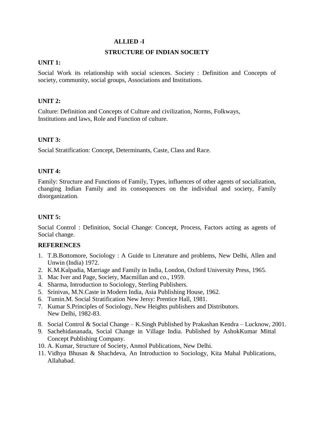#### **ALLIED -I**

#### **STRUCTURE OF INDIAN SOCIETY**

#### **UNIT 1:**

Social Work its relationship with social sciences. Society : Definition and Concepts of society, community, social groups, Associations and Institutions.

#### **UNIT 2:**

Culture: Definition and Concepts of Culture and civilization, Norms, Folkways, Institutions and laws, Role and Function of culture.

#### **UNIT 3:**

Social Stratification: Concept, Determinants, Caste, Class and Race.

#### **UNIT 4:**

Family: Structure and Functions of Family, Types, influences of other agents of socialization, changing Indian Family and its consequences on the individual and society, Family disorganization.

#### **UNIT 5:**

Social Control : Definition, Social Change: Concept, Process, Factors acting as agents of Social change.

#### **REFERENCES**

- 1. T.B.Bottomore, Sociology : A Guide to Literature and problems, New Delhi, Allen and Unwin (India) 1972.
- 2. K.M.Kalpadia, Marriage and Family in India, London, Oxford University Press, 1965.
- 3. Mac Iver and Page, Society, Macmillan and co., 1959.
- 4. Sharma, Introduction to Sociology, Sterling Publishers.
- 5. Srinivas, M.N.Caste in Modern India, Asia Publishing House, 1962.
- 6. Tumin.M. Social Stratification New Jersy: Prentice Hall, 1981.
- 7. Kumar S.Principles of Sociology, New Heights publishers and Distributors. New Delhi, 1982-83.
- 8. Social Control & Social Change K.Singh Published by Prakashan Kendra Lucknow, 2001.
- 9. Sachehidananada, Social Change in Village India. Published by AshokKumar Mittal Concept Publishing Company.
- 10. A. Kumar, Structure of Society, Anmol Publications, New Delhi.
- 11. Vidhya Bhusan & Shachdeva, An Introduction to Sociology, Kita Mahal Publications, Allahabad.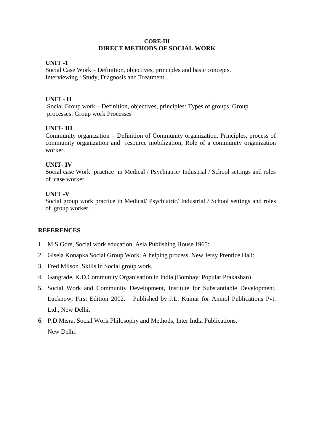#### **CORE-III DIRECT METHODS OF SOCIAL WORK**

## **UNIT -1**

Social Case Work – Definition, objectives, principles and basic concepts. Interviewing : Study, Diagnosis and Treatment .

## **UNIT - II**

Social Group work – Definition, objectives, principles: Types of groups, Group processes: Group work Processes

## **UNIT- III**

Community organization – Definition of Community organization, Principles, process of community organization and resource mobilization, Role of a community organization worker.

## **UNIT- IV**

Social case Work practice in Medical / Psychiatric/ Industrial / School settings and roles of case worker

## **UNIT -V**

Social group work practice in Medical/ Psychiatric/ Industrial / School settings and roles of group worker.

#### **REFERENCES**

- 1. M.S.Gore, Social work education, Asia Publishing House 1965:
- 2. Gisela Konapka Social Group Work, A helping process, New Jersy Prentice Hall:.
- 3. Fred Milson ,Skills in Social group work.
- 4. Gangrade, K.D.Community Organisation in India (Bombay: Popular Prakashan)
- 5. Social Work and Community Development, Institute for Substantiable Development, Lucknow, First Edition 2002. Published by J.L. Kumar for Anmol Publications Pvt. Ltd., New Delhi.
- 6. P.D.Misra, Social Work Philosophy and Methods, Inter India Publications, New Delhi.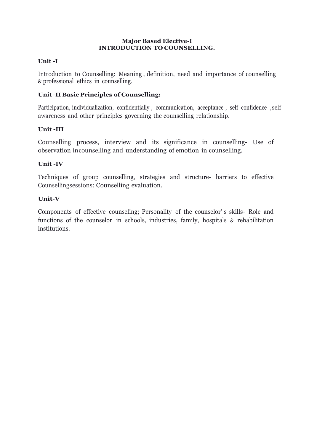#### **Major Based Elective-I INTRODUCTION TO COUNSELLING.**

# **Unit -I**

Introduction to Counselling: Meaning , definition, need and importance of counselling & professional ethics in counselling.

# **Unit -II Basic Principles of Counselling:**

Participation, individualization, confidentially , communication, acceptance , self confidence ,self awareness and other principles governing the counselling relationship.

# **Unit -III**

Counselling process, interview and its significance in counselling- Use of observation in counselling and understanding of emotion in counselling.

# **Unit -IV**

Techniques of group counselling, strategies and structure- barriers to effective Counsellingsessions: Counselling evaluation.

# **Unit-V**

Components of effective counseling; Personality of the counselor' s skills- Role and functions of the counselor in schools, industries, family, hospitals & rehabilitation institutions.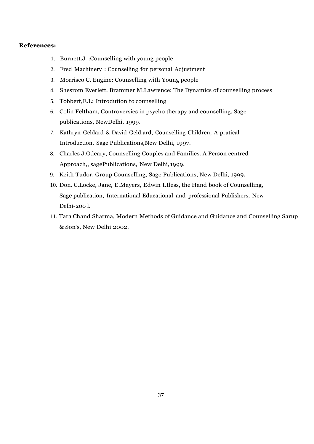#### **References:**

- 1. Burnett.J :Counselling with young people
- 2. Fred Machinery : Counselling for personal Adjustment
- 3. Morrisco C. Engine: Counselling with Young people
- 4. Shesrom Everlett, Brammer M.Lawrence: The Dynamics of counselling process
- 5. Tobbert,E.L: Introdution to counselling
- 6. Colin Feltham, Controversies in psycho therapy and counselling, Sage publications, NewDelhi, 1999.
- 7. Kathryn Geldard & David Geld.ard, Counselling Children, A pratical Introduction, Sage Publications,New Delhi, 1997.
- 8. Charles J.O.leary, Counselling Couples and Families. A Person centred Approach,, sagePublications, New Delhi, 1999.
- 9. Keith Tudor, Group Counselling, Sage Publications, New Delhi, 1999.
- 10. Don. C.Locke, Jane, E.Mayers, Edwin I.Iless, the Hand book of Counselling, Sage publication, International Educational and professional Publishers, New Delhi-200 l.
- 11. Tara Chand Sharma, Modern Methods of Guidance and Guidance and Counselling Sarup & Son's, New Delhi 2002.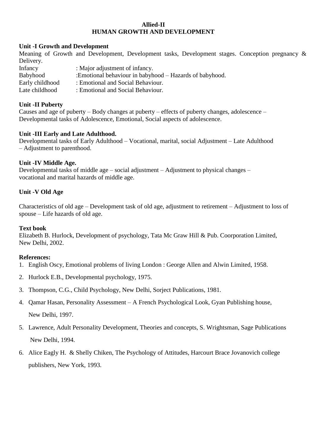## **Allied-II HUMAN GROWTH AND DEVELOPMENT**

#### **Unit -I Growth and Development**

Meaning of Growth and Development, Development tasks, Development stages. Conception pregnancy & Delivery. Infancy : Major adjustment of infancy. Babyhood :Emotional behaviour in babyhood – Hazards of babyhood. Early childhood : Emotional and Social Behaviour.<br>Late childhood : Emotional and Social Behaviour. : Emotional and Social Behaviour.

## **Unit -II Puberty**

Causes and age of puberty – Body changes at puberty – effects of puberty changes, adolescence – Developmental tasks of Adolescence, Emotional, Social aspects of adolescence.

## **Unit -III Early and Late Adulthood.**

Developmental tasks of Early Adulthood – Vocational, marital, social Adjustment – Late Adulthood – Adjustment to parenthood.

## **Unit -IV Middle Age.**

Developmental tasks of middle age – social adjustment – Adjustment to physical changes – vocational and marital hazards of middle age.

# **Unit -V Old Age**

Characteristics of old age – Development task of old age, adjustment to retirement – Adjustment to loss of spouse – Life hazards of old age.

#### **Text book**

Elizabeth B. Hurlock, Development of psychology, Tata Mc Graw Hill & Pub. Coorporation Limited, New Delhi, 2002.

#### **References:**

- 1. English Oscy, Emotional problems of living London : George Allen and Alwin Limited, 1958.
- 2. Hurlock E.B., Developmental psychology, 1975.
- 3. Thompson, C.G., Child Psychology, New Delhi, Sorject Publications, 1981.
- 4. Qamar Hasan, Personality Assessment A French Psychological Look, Gyan Publishing house, New Delhi, 1997.
- 5. Lawrence, Adult Personality Development, Theories and concepts, S. Wrightsman, Sage Publications New Delhi, 1994.
- 6. Alice Eagly H. & Shelly Chiken, The Psychology of Attitudes, Harcourt Brace Jovanovich college publishers, New York, 1993.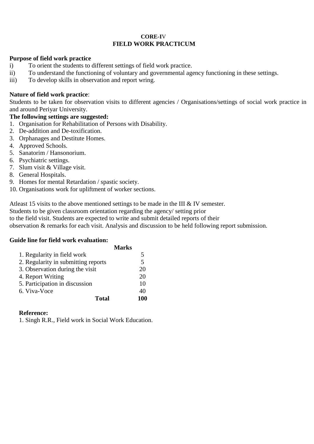#### **CORE-I**V **FIELD WORK PRACTICUM**

## **Purpose of field work practice**

- i) To orient the students to different settings of field work practice.
- ii) To understand the functioning of voluntary and governmental agency functioning in these settings.
- iii) To develop skills in observation and report wring.

## **Nature of field work practice**:

Students to be taken for observation visits to different agencies / Organisations/settings of social work practice in and around Periyar University.

# **The following settings are suggested:**

- 1. Organisation for Rehabilitation of Persons with Disability.
- 2. De-addition and De-toxification.
- 3. Orphanages and Destitute Homes.
- 4. Approved Schools.
- 5. Sanatorim / Hansonorium.
- 6. Psychiatric settings.
- 7. Slum visit & Village visit.
- 8. General Hospitals.
- 9. Homes for mental Retardation / spastic society.
- 10. Organisations work for upliftment of worker sections.

Atleast 15 visits to the above mentioned settings to be made in the III & IV semester.

Students to be given classroom orientation regarding the agency/ setting prior

to the field visit. Students are expected to write and submit detailed reports of their observation & remarks for each visit. Analysis and discussion to be held following report submission.

#### **Guide line for field work evaluation:**

|                                     | <b>Marks</b> |     |
|-------------------------------------|--------------|-----|
| 1. Regularity in field work         |              | 5   |
| 2. Regularity in submitting reports |              | 5   |
| 3. Observation during the visit     |              | 20  |
| 4. Report Writing                   |              | 20  |
| 5. Participation in discussion      |              | 10  |
| 6. Viva-Voce                        |              | 40  |
| <b>Total</b>                        |              | 100 |

# **Reference:**

1. Singh R.R., Field work in Social Work Education.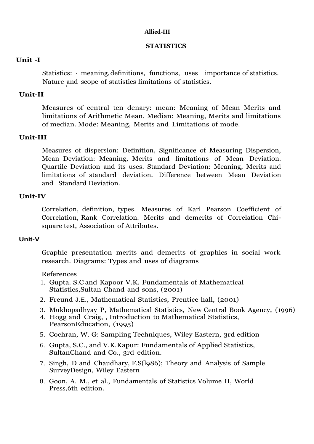# **Allied-III**

## **STATISTICS**

# **Unit -I**

Statistics:  $\cdot$  meaning, definitions, functions, uses importance of statistics. Nature and scope of statistics limitations of statistics. i

# **Unit-II**

Measures of central ten denary: mean: Meaning of Mean Merits and limitations of Arithmetic Mean. Median: Meaning, Merits and limitations of median. Mode: Meaning, Merits and Limitations of mode.

# **Unit-III**

Measures of dispersion: Definition, Significance of Measuring Dispersion, Mean Deviation: Meaning, Merits and limitations of Mean Deviation. Quartile Deviation and its uses. Standard Deviation: Meaning, Merits and limitations of standard deviation. Difference between Mean Deviation and Standard Deviation.

# **Unit-IV**

Correlation, definition, types. Measures of Karl Pearson Coefficient of Correlation, Rank Correlation. Merits and demerits of Correlation Chisquare test, Association of Attributes.

# **Unit-V**

Graphic presentation merits and demerits of graphics in social work research. Diagrams: Types and uses of diagrams

# References

- 1. Gupta. S.C and Kapoor V.K. Fundamentals of Mathematical Statistics,Sultan Chand and sons, (2001)
- 2. Freund J.E., Mathematical Statistics, Prentice hall, (2001)
- 3. Mukhopadhyay P, Mathematical Statistics, New Central Book Agency, (1996)
- 4. Hogg and Craig, , Introduction to Mathematical Statistics, PearsonEducation, (1995)
- 5. Cochran, W. G: Sampling Techniques, Wiley Eastern, 3rd edition
- 6. Gupta, S.C., and V.K.Kapur: Fundamentals of Applied Statistics, SultanChand and Co., 3rd edition.
- 7. Singh, D and Chaudhary, F.S(l986); Theory and Analysis of Sample SurveyDesign, Wiley Eastern
- 8. Goon, A. M., et al., Fundamentals of Statistics Volume II, World Press,6th edition.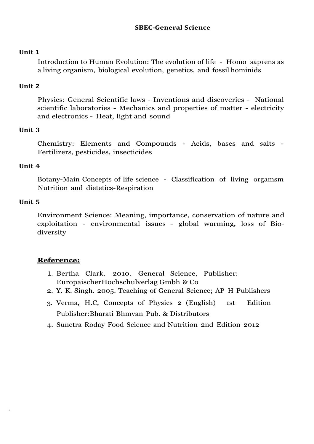# **SBEC-General Science**

# **Unit 1**

Introduction to Human Evolution: The evolution of life - Homo sap1ens as a living organism, biological evolution, genetics, and fossil hominids

# **Unit 2**

Physics: General Scientific laws - Inventions and discoveries - National scientific laboratories - Mechanics and properties of matter - electricity and electronics - Heat, light and sound

# **Unit 3**

Chemistry: Elements and Compounds - Acids, bases and salts - Fertilizers, pesticides, insecticides

# **Unit 4**

Botany-Main Concepts of life science - Classification of living orgamsm Nutrition and dietetics-Respiration

# **Unit 5**

Environment Science: Meaning, importance, conservation of nature and exploitation - environmental issues - global warming, loss of Biodiversity

# **Reference:**

- 1. Bertha Clark. 2010. General Science, Publisher: EuropaischerHochschulverlag Gmbh & Co
- 2. Y. K. Singh. 2005. Teaching of General Science; AP H Publishers
- 3. Verma, H.C, Concepts of Physics 2 (English) 1st Edition Publisher:Bharati Bhmvan Pub. & Distributors
- 4. Sunetra Roday Food Science and Nutrition 2nd Edition 2012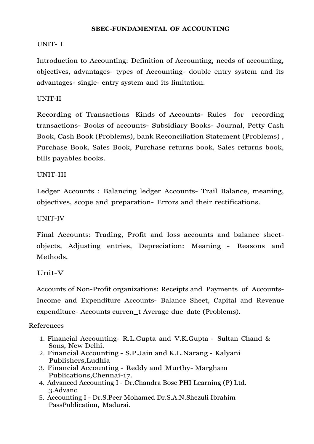## **SBEC-FUNDAMENTAL OF ACCOUNTING**

# UNIT- I

Introduction to Accounting: Definition of Accounting, needs of accounting, objectives, advantages- types of Accounting- double entry system and its advantages- single- entry system and its limitation.

# UNIT-II

Recording of Transactions Kinds of Accounts- Rules for recording transactions- Books of accounts- Subsidiary Books- Journal, Petty Cash Book, Cash Book (Problems), bank Reconciliation Statement (Problems) , Purchase Book, Sales Book, Purchase returns book, Sales returns book, bills payables books.

# UNIT-III

Ledger Accounts : Balancing ledger Accounts- Trail Balance, meaning, objectives, scope and preparation- Errors and their rectifications.

# UNIT-IV

Final Accounts: Trading, Profit and loss accounts and balance sheetobjects, Adjusting entries, Depreciation: Meaning - Reasons and Methods.

# Unit-V

Accounts of Non-Profit organizations: Receipts and Payments of Accounts-Income and Expenditure Accounts- Balance Sheet, Capital and Revenue expenditure- Accounts curren\_t Average due date (Problems).

# References

- 1. Financial Accounting- R.L.Gupta and V.K.Gupta Sultan Chand & Sons, New Delhi.
- 2. Financial Accounting S.P.Jain and K.L.Narang Kalyani Publishers,Ludhia
- 3. Financial Accounting Reddy and Murthy- Margham Publications,Chennai-17.
- 4. Advanced Accounting I Dr.Chandra Bose PHI Learning (P) Ltd. 3.Advanc
- 5. Accounting I Dr.S.Peer Mohamed Dr.S.A.N.Shezuli Ibrahim PassPublication, Madurai.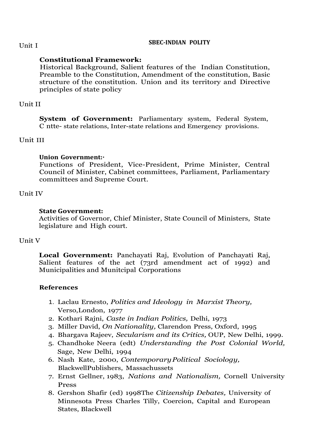#### **SBEC-INDIAN POLITY**

# **Constitutional Framework:**

Historical Background, Salient features of the Indian Constitution, Preamble to the Constitution, Amendment of the constitution, Basic structure of the constitution. Union and its territory and Directive principles of state policy

# Unit II

**System of Government:** Parliamentary system, Federal System, C ntte- state relations, Inter-state relations and Emergency provisions.

# Unit III

# **Union Government:·**

Functions of President, Vice-President, Prime Minister, Central Council of Minister, Cabinet committees, Parliament, Parliamentary committees and Supreme Court.

# Unit IV

# **State Government:**

Activities of Governor, Chief Minister, State Council of Ministers, State legislature and High court.

# Unit V

**Local Government:** Panchayati Raj, Evolution of Panchayati Raj, Salient features of the act (73rd amendment act of 1992) and Municipalities and Munitcipal Corporations

# **References**

- 1. Laclau Ernesto, *Politics and Ideology in Marxist Theory,* Verso,London, 1977
- 2. Kothari Rajni, *Caste in Indian Politics,* Delhi, 1973
- 3. Miller David, *On Nationality,* Clarendon Press, Oxford, 1995
- 4. Bhargava Rajeev, *Secularism and its Critics,* OUP, New Delhi, 1999.
- 5. Chandhoke Neera (edt) *Understanding the Post Colonial World,* Sage, New Delhi, 1994
- 6. Nash Kate, 2000, *ContemporaryPolitical Sociology,* BlackwellPublishers, Massachussets
- 7. Ernst Gellner, 1983, *Nations and Nationalism,* Cornell University Press
- 8. Gershon Shafir (ed) 1998The *Citizenship Debates,* University of Minnesota Press Charles Tilly, Coercion, Capital and European States, Blackwell

Unit I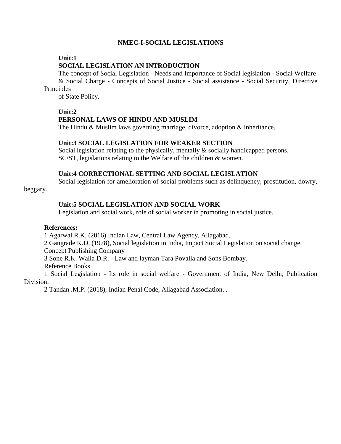## **NMEC-I-SOCIAL LEGISLATIONS**

#### **Unit:1**

#### **SOCIAL LEGISLATION AN INTRODUCTION**

The concept of Social Legislation - Needs and Importance of Social legislation - Social Welfare & Social Charge - Concepts of Social Justice - Social assistance - Social Security, Directive **Principles** 

of State Policy.

#### **Unit:2**

#### **PERSONAL LAWS OF HINDU AND MUSLIM**

The Hindu & Muslim laws governing marriage, divorce, adoption & inheritance.

#### **Unit:3 SOCIAL LEGISLATION FOR WEAKER SECTION**

Social legislation relating to the physically, mentally & socially handicapped persons, SC/ST, legislations relating to the Welfare of the children & women.

#### **Unit:4 CORRECTIONAL SETTING AND SOCIAL LEGISLATION**

Social legislation for amelioration of social problems such as delinquency, prostitution, dowry,

beggary.

# **Unit:5 SOCIAL LEGISLATION AND SOCIAL WORK**

Legislation and social work, role of social worker in promoting in social justice.

#### **References:**

1 Agarwal.R.K, (2016) Indian Law, Central Law Agency, Allagabad.

2 Gangrade K.D, (1978), Social legislation in India, Impact Social Legislation on social change.

Concept Publishing Company

3 Sone R.K. Walla D.R. - Law and layman Tara Povalla and Sons Bombay.

Reference Books

1 Social Legislation - Its role in social welfare - Government of India, New Delhi, Publication Division.

2 Tandan .M.P. (2018), Indian Penal Code, Allagabad Association, .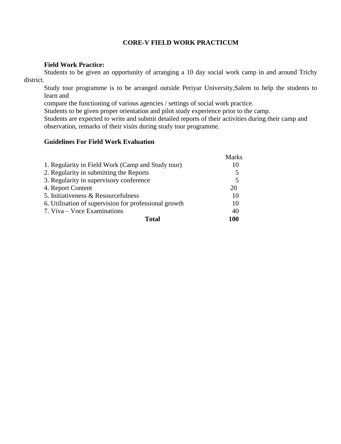## **CORE-V FIELD WORK PRACTICUM**

#### **Field Work Practice:**

Students to be given an opportunity of arranging a 10 day social work camp in and around Trichy district.

Study tour programme is to be arranged outside Periyar University,Salem to help the students to learn and

compare the functioning of various agencies / settings of social work practice.

Students to be given proper orientation and pilot study experience prior to the camp.

Students are expected to write and submit detailed reports of their activities during their camp and observation, remarks of their visits during study tour programme.

# **Guidelines For Field Work Evaluation**

|                                                       | <b>Marks</b> |
|-------------------------------------------------------|--------------|
| 1. Regularity in Field Work (Camp and Study tour)     | 10           |
| 2. Regularity in submitting the Reports               | 5            |
| 3. Regularity in supervisory conference               | 5            |
| 4. Report Content                                     | 20           |
| 5. Initiativeness & Resourcefulness                   | 10           |
| 6. Utilisation of supervision for professional growth | 10           |
| 7. Viva – Voce Examinations                           | 40           |
| Total                                                 | 100          |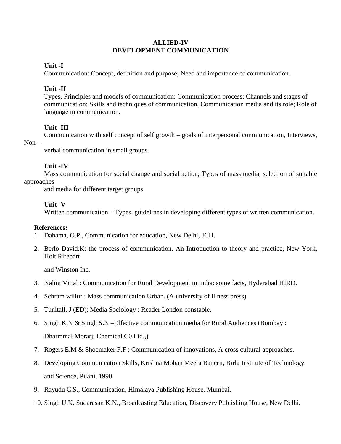#### **ALLIED-IV DEVELOPMENT COMMUNICATION**

# **Unit -I**

Communication: Concept, definition and purpose; Need and importance of communication.

# **Unit -II**

Types, Principles and models of communication: Communication process: Channels and stages of communication: Skills and techniques of communication, Communication media and its role; Role of language in communication.

# **Unit -III**

Communication with self concept of self growth – goals of interpersonal communication, Interviews,

## $Non -$

verbal communication in small groups.

# **Unit -IV**

Mass communication for social change and social action; Types of mass media, selection of suitable approaches

and media for different target groups.

# **Unit -V**

Written communication – Types, guidelines in developing different types of written communication.

# **References:**

- 1. Dahama, O.P., Communication for education, New Delhi, JCH.
- 2. Berlo David.K: the process of communication. An Introduction to theory and practice, New York, Holt Rirepart

and Winston Inc.

- 3. Nalini Vittal : Communication for Rural Development in India: some facts, Hyderabad HIRD.
- 4. Schram willur : Mass communication Urban. (A university of illness press)
- 5. Tunitall. J (ED): Media Sociology : Reader London constable.
- 6. Singh K.N & Singh S.N –Effective communication media for Rural Audiences (Bombay : Dharmmal Morarji Chemical C0.Ltd.,)
- 7. Rogers E.M & Shoemaker F.F : Communication of innovations, A cross cultural approaches.
- 8. Developing Communication Skills, Krishna Mohan Meera Banerji, Birla Institute of Technology and Science, Pilani, 1990.
- 9. Rayudu C.S., Communication, Himalaya Publishing House, Mumbai.
- 10. Singh U.K. Sudarasan K.N., Broadcasting Education, Discovery Publishing House, New Delhi.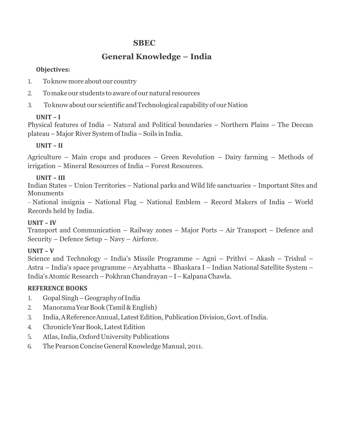# **SBEC**

# **General Knowledge – India**

# **Objectives:**

- 1. Toknowmore about our country
- 2. To make our students to aware of our natural resources
- 3. To know about our scientific and Technological capability of our Nation

# **UNIT – I**

Physical features of India – Natural and Political boundaries – Northern Plains – The Deccan plateau – Major RiverSystemofIndia–Soils in India.

# **UNIT – II**

Agriculture – Main crops and produces – Green Revolution – Dairy farming – Methods of irrigation – Mineral Resources of India – Forest Resources.

# **UNIT – III**

Indian States – Union Territories – National parks and Wild life sanctuaries – Important Sites and **Monuments** 

– National insignia – National Flag – National Emblem – Record Makers of India – World Records held by India.

# **UNIT – IV**

Transport and Communication – Railway zones – Major Ports – Air Transport – Defence and Security – Defence Setup – Navy – Airforce.

# **UNIT – V**

Science and Technology – India's Missile Programme – Agni – Prithvi – Akash – Trishul – Astra – India's space programme –Aryabhatta – Bhaskara I – Indian National Satellite System – India'sAtomic Research –PokhranChandrayan–I–KalpanaChawla.

# **REFERENCE BOOKS**

- 1. Gopal Singh–Geography ofIndia
- 2. ManoramaYearBook (Tamil&English)
- 3. India, AReference Annual, Latest Edition, Publication Division, Govt. of India.
- 4. Chronicle Year Book, Latest Edition
- 5. Atlas,India,OxfordUniversityPublications
- 6. ThePearsonConciseGeneralKnowledgeManual, 2011.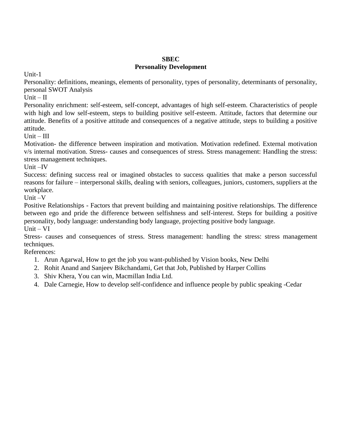#### **SBEC Personality Development**

Unit-1

Personality: definitions, meanings, elements of personality, types of personality, determinants of personality, personal SWOT Analysis

 $Unit - II$ 

Personality enrichment: self-esteem, self-concept, advantages of high self-esteem. Characteristics of people with high and low self-esteem, steps to building positive self-esteem. Attitude, factors that determine our attitude. Benefits of a positive attitude and consequences of a negative attitude, steps to building a positive attitude.

 $Unit - III$ 

Motivation- the difference between inspiration and motivation. Motivation redefined. External motivation v/s internal motivation. Stress- causes and consequences of stress. Stress management: Handling the stress: stress management techniques.

Unit –IV

Success: defining success real or imagined obstacles to success qualities that make a person successful reasons for failure – interpersonal skills, dealing with seniors, colleagues, juniors, customers, suppliers at the workplace.

Unit –V

Positive Relationships - Factors that prevent building and maintaining positive relationships. The difference between ego and pride the difference between selfishness and self-interest. Steps for building a positive personality, body language: understanding body language, projecting positive body language.  $Unit - VI$ 

Stress- causes and consequences of stress. Stress management: handling the stress: stress management techniques.

References:

- 1. Arun Agarwal, How to get the job you want-published by Vision books, New Delhi
- 2. Rohit Anand and Sanjeev Bikchandami, Get that Job, Published by Harper Collins
- 3. Shiv Khera, You can win, Macmillan India Ltd.
- 4. Dale Carnegie, How to develop self-confidence and influence people by public speaking -Cedar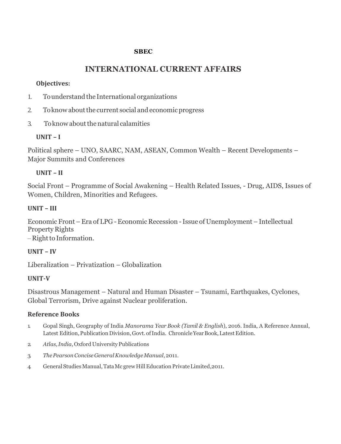# **SBEC**

# **INTERNATIONAL CURRENT AFFAIRS**

# **Objectives:**

- 1. To understand the International organizations
- 2. To know about the current social and economic progress
- 3. Toknowaboutthenatural calamities

# **UNIT – I**

Political sphere – UNO, SAARC, NAM, ASEAN, Common Wealth – Recent Developments – Major Summits and Conferences

# **UNIT – II**

Social Front – Programme of Social Awakening – Health Related Issues, - Drug, AIDS, Issues of Women, Children, Minorities and Refugees.

# **UNIT – III**

Economic Front –Era of LPG -Economic Recession -Issue of Unemployment –Intellectual Property Rights

 $-$  Right to Information.

# **UNIT – IV**

Liberalization – Privatization – Globalization

# **UNIT-V**

Disastrous Management – Natural and Human Disaster – Tsunami, Earthquakes, Cyclones, Global Terrorism, Drive against Nuclear proliferation.

# **Reference Books**

- 1. Gopal Singh, Geography of India *Manorama Year Book (Tamil & English*), 2016. India, A Reference Annual, Latest Edition, Publication Division, Govt. of India. Chronicle Year Book, Latest Edition.
- 2. *Atlas,India*,OxfordUniversityPublications
- 3. *ThePearsonConciseGeneralKnowledgeManual*,2011.
- 4. GeneralStudiesManual,TataMc grew HillEducationPrivateLimited,2011.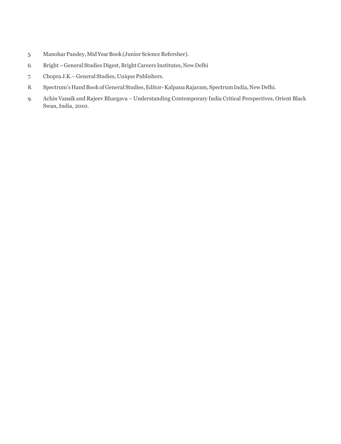- 5. Manohar Pandey, Mid Year Book (Junior Science Refersher).
- 6. Bright–GeneralStudies Digest,BrightCareers Institutes,NewDelhi
- 7. Chopra J.K. General Studies, Unique Publishers.
- 8. Spectrum's Hand Book of General Studies, Editor-Kalpana Rajaram, Spectrum India, New Delhi.
- 9. Achin Vanaik and Rajeev Bhargava Understanding Contemporary India Critical Perspectives, Orient Black Swan, India, 2010.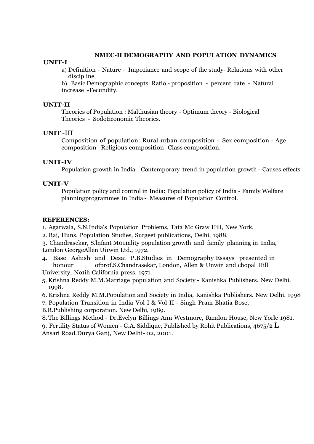#### **NMEC-II DEMOGRAPHY AND POPULATION DYNAMICS**

#### **UNIT-I**

a) Definition - Nature - Impo1iance and scope of the study- Relations with other discipline.

b) Basic Demographic concepts: Ratio - proposition - percent rate - Natural increase -Fecundity.

#### **UNIT-II**

Theories of Population : Malthusian theory - Optimum theory - Biological Theories - SodoEconomic Theories.

#### **UNIT** -III

Composition of population: Rural urban composition - Sex composition - Age composition -Religious composition -Class composition.

#### **UNIT-IV**

Population growth in India : Contemporary trend in population growth - Causes effects.

#### **UNIT-V**

Population policy and control in India: Population policy of India - Family Welfare planningprogrammes in India - Measures of Population Control.

#### **REFERENCES:**

1. Agarwala, S.N.India's Population Problems, Tata Mc Graw Hill, New York.

2. Raj, Huns. Population Studies, Surgeet publications, Delhi, 1988.

3. Chandrasekar, S.lnfant M011ality population growth and family planning in India, London GeorgeAllen Ui1win Ltd., 1972.

4. Base Ashish and Desai P.B.Studies in Demography Essays presented in honour ofprof.S.Chandrasekar, London, Allen & Unwin and chopal Hill University, No1ih California press. 1971.

5. Krishna Reddy M.M.Marriage population and Society - Kanishka Publishers. New Delhi. 1998.

6. Krishna Reddy M.M.Population and Society in India, Kanishka Publishers. New Delhi. 1998

7. Population Transition in India Vol I & Vol II - Singh Pram Bhatia Bose,

B.R.Publishing corporation. New Delhi, 1989.

8.The Billings Method - Dr.Evelyn Billings Ann Westmore, Randon House, New Yorlc 1981.

9. Fertility Status of Women - G.A. Siddique, Published by Rohit Publications,  $4675/2$  L Ansari Road.Durya Ganj, New Delhi- 02, 2001.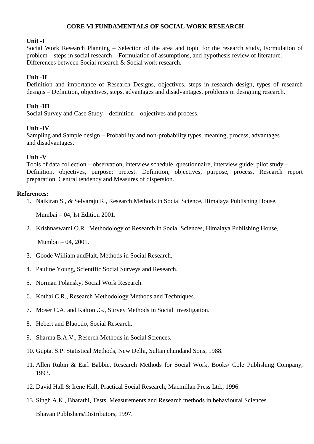## **CORE VI FUNDAMENTALS OF SOCIAL WORK RESEARCH**

#### **Unit -I**

Social Work Research Planning – Selection of the area and topic for the research study, Formulation of problem – steps in social research – Formulation of assumptions, and hypothesis review of literature. Differences between Social research & Social work research.

#### **Unit -II**

Definition and importance of Research Designs, objectives, steps in research design, types of research designs – Definition, objectives, steps, advantages and disadvantages, problems in designing research.

#### **Unit -III**

Social Survey and Case Study – definition – objectives and process.

#### **Unit -IV**

Sampling and Sample design – Probability and non-probability types, meaning, process, advantages and disadvantages.

#### **Unit -V**

Tools of data collection – observation, interview schedule, questionnaire, interview guide; pilot study – Definition, objectives, purpose; pretest: Definition, objectives, purpose, process. Research report preparation. Central tendency and Measures of dispersion.

#### **References:**

1. Naikiran S., & Selvaraju R., Research Methods in Social Science, Himalaya Publishing House,

Mumbai – 04, Ist Edition 2001.

2. Krishnaswami O.R., Methodology of Research in Social Sciences, Himalaya Publishing House,

Mumbai – 04, 2001.

- 3. Goode William andHalt, Methods in Social Research.
- 4. Pauline Young, Scientific Social Surveys and Research.
- 5. Norman Polansky, Social Work Research.
- 6. Kothai C.R., Research Methodology Methods and Techniques.
- 7. Moser C.A. and Kalton .G., Survey Methods in Social Investigation.
- 8. Hebert and Blaoodo, Social Research.
- 9. Sharma B.A.V., Reserch Methods in Social Sciences.
- 10. Gupta. S.P. Statistical Methods, New Delhi, Sultan chundand Sons, 1988.
- 11. Allen Rubin & Earl Babbie, Research Methods for Social Work, Books/ Cole Publishing Company, 1993.
- 12. David Hall & Irene Hall, Practical Social Research, Macmillan Press Ltd., 1996.
- 13. Singh A.K., Bharathi, Tests, Measurements and Research methods in behavioural Sciences Bhavan Publishers/Distributors, 1997.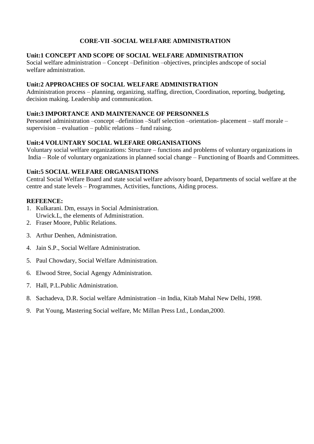# **CORE-VII -SOCIAL WELFARE ADMINISTRATION**

## **Unit:1 CONCEPT AND SCOPE OF SOCIAL WELFARE ADMINISTRATION**

Social welfare administration – Concept –Definition –objectives, principles andscope of social welfare administration.

## **Unit:2 APPROACHES OF SOCIAL WELFARE ADMINISTRATION**

Administration process – planning, organizing, staffing, direction, Coordination, reporting, budgeting, decision making. Leadership and communication.

#### **Unit:3 IMPORTANCE AND MAINTENANCE OF PERSONNELS**

Personnel administration –concept –definition –Staff selection –orientation- placement – staff morale – supervision – evaluation – public relations – fund raising.

## **Unit:4 VOLUNTARY SOCIAL WLEFARE ORGANISATIONS**

Voluntary social welfare organizations: Structure – functions and problems of voluntary organizations in India – Role of voluntary organizations in planned social change – Functioning of Boards and Committees.

# **Unit:5 SOCIAL WELFARE ORGANISATIONS**

Central Social Welfare Board and state social welfare advisory board, Departments of social welfare at the centre and state levels – Programmes, Activities, functions, Aiding process.

## **REFEENCE:**

- 1. Kulkarani. Dm, essays in Social Administration. Urwick.L, the elements of Administration.
- 2. Fraser Moore, Public Relations.
- 3. Arthur Denhen, Administration.
- 4. Jain S.P., Social Welfare Administration.
- 5. Paul Chowdary, Social Welfare Administration.
- 6. Elwood Stree, Social Agengy Administration.
- 7. Hall, P.L.Public Administration.
- 8. Sachadeva, D.R. Social welfare Administration –in India, Kitab Mahal New Delhi, 1998.
- 9. Pat Young, Mastering Social welfare, Mc Millan Press Ltd., Londan,2000.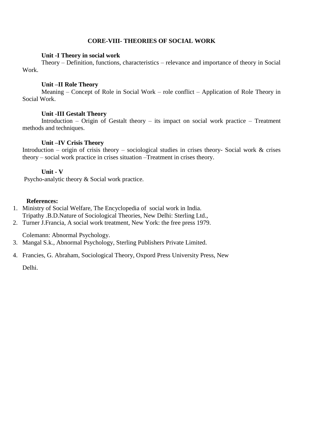#### **CORE-VIII- THEORIES OF SOCIAL WORK**

#### **Unit -I Theory in social work**

Theory – Definition, functions, characteristics – relevance and importance of theory in Social Work.

#### **Unit –II Role Theory**

Meaning – Concept of Role in Social Work – role conflict – Application of Role Theory in Social Work.

## **Unit -III Gestalt Theory**

Introduction – Origin of Gestalt theory – its impact on social work practice – Treatment methods and techniques.

#### **Unit –IV Crisis Theory**

Introduction – origin of crisis theory – sociological studies in crises theory- Social work  $\&$  crises theory – social work practice in crises situation –Treatment in crises theory.

#### **Unit - V**

Psycho-analytic theory & Social work practice.

#### **References:**

- 1. Ministry of Social Welfare, The Encyclopedia of social work in India. Tripathy .B.D.Nature of Sociological Theories, New Delhi: Sterling Ltd.,
- 2. Turner J.Francia, A social work treatment, New York: the free press 1979.

Colemann: Abnormal Psychology.

- 3. Mangal S.k., Abnormal Psychology, Sterling Publishers Private Limited.
- 4. Francies, G. Abraham, Sociological Theory, Oxpord Press University Press, New

Delhi.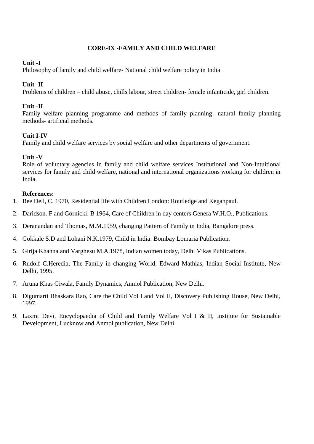# **CORE-IX -FAMILY AND CHILD WELFARE**

## **Unit -I**

Philosophy of family and child welfare- National child welfare policy in India

# **Unit -II**

Problems of children – child abuse, chills labour, street children- female infanticide, girl children.

# **Unit -II**

Family welfare planning programme and methods of family planning- natural family planning methods- artificial methods.

# **Unit I-IV**

Family and child welfare services by social welfare and other departments of government.

# **Unit -V**

Role of voluntary agencies in family and child welfare services Institutional and Non-Intuitional services for family and child welfare, national and international organizations working for children in India.

# **References:**

- 1. Bee Dell, C. 1970, Residential life with Children London: Routledge and Keganpaul.
- 2. Daridson. F and Gornicki. B 1964, Care of Children in day centers Genera W.H.O., Publications.
- 3. Deranandan and Thomas, M.M.1959, changing Pattern of Family in India, Bangalore press.
- 4. Gokkale S.D and Lohani N.K.1979, Child in India: Bombay Lomaria Publication.
- 5. Girija Khanna and Varghesu M.A.1978, Indian women today, Delhi Vikas Publications.
- 6. Rudolf C.Heredia, The Family in changing World, Edward Mathias, Indian Social Institute, New Delhi, 1995.
- 7. Aruna Khas Giwala, Family Dynamics, Anmol Publication, New Delhi.
- 8. Digumarti Bhaskara Rao, Care the Child Vol I and Vol II, Discovery Publishing House, New Delhi, 1997.
- 9. Laxmi Devi, Encyclopaedia of Child and Family Welfare Vol I & II, Institute for Sustainable Development, Lucknow and Anmol publication, New Delhi.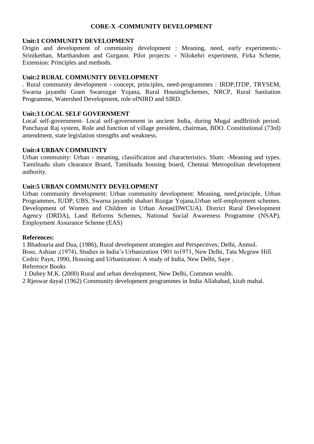## **CORE-X -COMMUNITY DEVELOPMENT**

#### **Unit:1 COMMUNITY DEVELOPMENT**

Origin and development of community development : Meaning, need, early experiments:- Srinikethan, Marthandom and Gurgaon. Pilot projects: - Nilokehri experiment, Firka Scheme, Extension: Principles and methods.

## **Unit:2 RURAL COMMUNITY DEVELOPMENT**

. Rural community development - concept, principles, need-programmes : IRDP,ITDP, TRYSEM, Swarna jayanthi Gram Swarozgar Yojana, Rural HousingSchemes, NRCP, Rural Sanitation Programme, Watershed Development, role ofNIRD and SIRD.

## **Unit:3 LOCAL SELF GOVERNMENT**

Local self-government- Local self-government in ancient India, during Mugal andBritish period. Panchayat Raj system, Role and function of village president, chairman, BDO. Constitutional (73rd) amendment, state legislation strengths and weakness.

#### **Unit:4 URBAN COMMUINTY**

Urban community: Urban - meaning, classification and characteristics. Slum: -Meaning and types. Tamilnadu slum clearance Board, Tamilnadu housing board, Chennai Metropolitan development authority.

## **Unit:5 URBAN COMMUNITY DEVELOPMENT**

Urban community development: Urban community development: Meaning, need,principle, Urban Programmes, IUDP, UBS, Swarna jayanthi shahari Rozgar Yojana,Urban self-employment schemes. Development of Women and Children in Urban Areas(DWCUA). District Rural Development Agency (DRDA), Land Reforms Schemes, National Social Awareness Programme (NSAP), Employment Assurance Scheme (EAS)

#### **References:**

1 Bhadouria and Dua, (1986), Rural development strategies and Perspectives; Delhi, Anmol. Bose, Ashian ,(1974), Studies in India's Urbanization 1901 to1971, New Delhi, Tata Mcgraw Hill. Cedric Payn, 1990, Housing and Urbanization: A study of India, New Delhi, Saye . Reference Books

1 Dubey M.K. (2000) Rural and urban development, New Delhi, Common wealth.

2 Rjeswar dayal (1962) Community development programmes in India Allahabad, kitab mahal.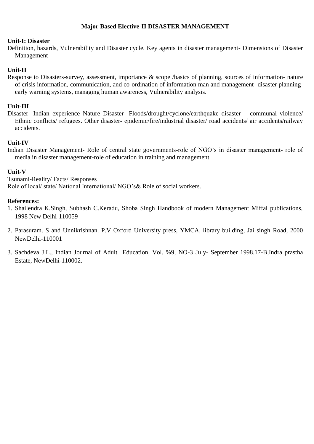## **Major Based Elective-II DISASTER MANAGEMENT**

#### **Unit-I: Disaster**

Definition, hazards, Vulnerability and Disaster cycle. Key agents in disaster management- Dimensions of Disaster Management

#### **Unit-II**

Response to Disasters-survey, assessment, importance & scope /basics of planning, sources of information- nature of crisis information, communication, and co-ordination of information man and management- disaster planningearly warning systems, managing human awareness, Vulnerability analysis.

#### **Unit-III**

Disaster- Indian experience Nature Disaster- Floods/drought/cyclone/earthquake disaster – communal violence/ Ethnic conflicts/ refugees. Other disaster- epidemic/fire/industrial disaster/ road accidents/ air accidents/railway accidents.

#### **Unit-IV**

Indian Disaster Management- Role of central state governments-role of NGO's in disaster management- role of media in disaster management-role of education in training and management.

#### **Unit-V**

Tsunami-Reality/ Facts/ Responses Role of local/ state/ National International/ NGO's& Role of social workers.

#### **References:**

- 1. Shailendra K.Singh, Subhash C.Keradu, Shoba Singh Handbook of modern Management Miffal publications, 1998 New Delhi-110059
- 2. Parasuram. S and Unnikrishnan. P.V Oxford University press, YMCA, library building, Jai singh Road, 2000 NewDelhi-110001
- 3. Sachdeva J.L., Indian Journal of Adult Education, Vol. %9, NO-3 July- September 1998.17-B,Indra prastha Estate, NewDelhi-110002.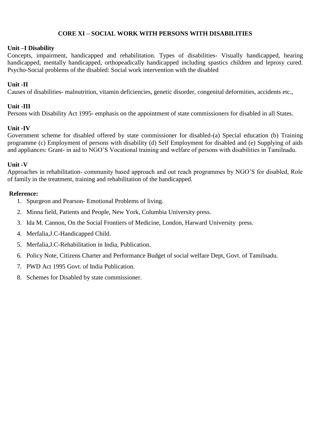# **CORE XI – SOCIAL WORK WITH PERSONS WITH DISABILITIES**

## **Unit –I Disability**

Concepts, impairment, handicapped and rehabilitation. Types of disabilities- Visually handicapped, hearing handicapped, mentally handicapped, orthopeadically handicapped including spastics children and leprosy cured. Psycho-Social problems of the disabled: Social work intervention with the disabled

# **Unit -II**

Causes of disabilities- malnutrition, vitamin deficiencies, genetic disorder, congenital deformities, accidents etc.,

# **Unit -III**

Persons with Disability Act 1995- emphasis on the appointment of state commissioners for disabled in all States.

# **Unit -IV**

Government scheme for disabled offered by state commissioner for disabled-(a) Special education (b) Training programme (c) Employment of persons with disability (d) Self Employment for disabled and (e) Supplying of aids and appliances: Grant- in aid to NGO'S Vocational training and welfare of persons with disabilities in Tamilnadu.

# **Unit -V**

Approaches in rehabilitation- community based approach and out reach programmes by NGO'S for disabled, Role of family in the treatment, training and rehabilitation of the handicapped.

## **Reference:**

- 1. Spurgeon and Pearson- Emotional Problems of living.
- 2. Minna field, Patients and People, New York, Columbia University press.
- 3. Ida M. Cannon, On the Social Frontiers of Medicine, London, Harward University press.
- 4. Merfalia,J.C-Handicapped Child.
- 5. Merfalia,J.C-Rehabilitation in India, Publication.
- 6. Policy Note, Citizens Charter and Performance Budget of social welfare Dept, Govt. of Tamilnadu.
- 7. PWD Act 1995 Govt. of India Publication.
- 8. Schemes for Disabled by state commissioner.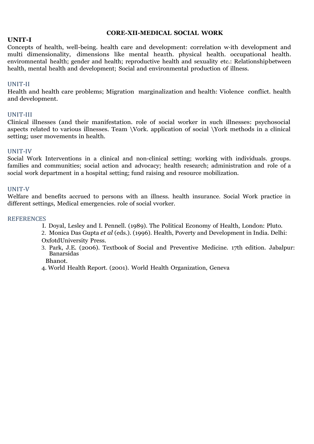#### **CORE-XII-MEDICAL SOCIAL WORK**

#### **UNIT-I**

Concepts of health, well-being. health care and development: correlation w·ith development and multi dimensionality, dimensions like mental hea1th. physical health. occupational health. enviromnental health; gender and health; reproductive health and sexuality etc.: Relationshipbetween health, mental health and development; Social and environmental production of illness.

#### UNIT-II

Health and health care problems; Migration marginalization and health: Violence conflict. health and development.

#### UNIT-III

Clinical illnesses (and their manifestation. role of social worker in such illnesses: psychosocial aspects related to various illnesses. Team \Vork. application of social \York methods in a clinical setting; user movements in health.

#### UNIT-IV

Social Work Interventions in a clinical and non-clinical setting; working with individuals. groups. families and communities; social action and advocacy; health research; administration and role of a social work department in a hospital setting; fund raising and resource mobilization.

#### UNIT-V

Welfare and benefits accrued to persons with an illness. health insurance. Social Work practice in different settings, Medical emergencies. role of social vvorker.

#### **REFERENCES**

- I. Doyal, Lesley and I. Pennell. (1989). The Political Economy of Health, London: Pluto.
- 2. Monica Das Gupta *et al* (eds.). (1996). Health, Poverty and Development in India. Delhi: OxfotdUniversity Press.
- 3. Park, J.E. (2006). Textbook of Social and Preventive Medicine. 17th edition. Jabalpur: Banarsidas
	- Bhanot.
- 4. World Health Report. (2001). World Health Organization, Geneva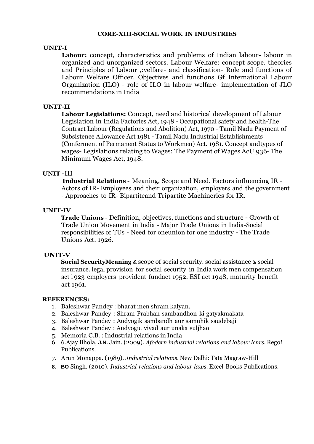#### **CORE-XIII-SOCIAL WORK IN INDUSTRIES**

#### **UNIT-I**

**Labour:** concept, characteristics and problems of Indian labour- labour in organized and unorganized sectors. Labour Welfare: concept scope. theories and Principles of Labour ,:velfare- and classification- Role and functions of Labour Welfare Officer. Objectives and functions Gf International Labour Organization (ILO) - role of ILO in labour welfare- implementation of JLO recommendations in India

## **UNIT-II**

**Labour Legislations:** Concept, need and historical development of Labour Legislation in India Factories Act, 1948 - Occupational safety and health-The Contract Labour (Regulations and Abolition) Act, 1970 - Tamil Nadu Payment of Subsistence Allowance Act 1981 - Tamil Nadu Industrial Establishments (Conferment of Permanent Status to Workmen) Act. 1981. Concept andtypes of wages- Legislations relating to Wages: The Payment of Wages AcU 936- The Minimum Wages Act, 1948.

#### **UNIT** -III

**Industrial Relations** - Meaning, Scope and Need. Factors influencing IR - Actors of IR- Employees and their organization, employers and the government - Approaches to IR- Bipartiteand Tripartite Machineries for IR.

#### **UNIT-IV**

**Trade Unions** - Definition, objectives, functions and structure - Growth of Trade Union Movement in India - Major Trade Unions in India-Social responsibilities of TUs - Need for oneunion for one industry - The Trade Unions Act. 1926.

#### **UNIT-V**

**Social SecurityMeaning** & scope of social security. social assistance & social insurance. legal provision for social security in India work men compensation act l 923 employers provident fundact 1952. ESI act 1948, maturity benefit act 1961.

#### **REFERENCES:**

- 1. Baleshwar Pandey : bharat men shram kalyan.
- 2. Baleshwar Pandey : Shram Prabhan sambandhon ki gatyakmakata
- 3. Baleshwar Pandey : Audyogik sambandh aur samuhik saudebaji
- 4. Baleshwar Pandey : Audyogic vivad aur unaka suljhao
- 5. Memoria C.B. : Industrial relations in India
- 6. 6.Ajay Bhola, **J.N.** Jain. (2009). *Afodern industrial relations and labour lcnrs.* Rego! Publications.
- 7. Arun Monappa. (1989). *Jndustrial relations.* New Delhi: Tata Magraw-Hill
- **8. BO** Singh. (2010). *Industrial relations and labour laws.* Excel Books Publications.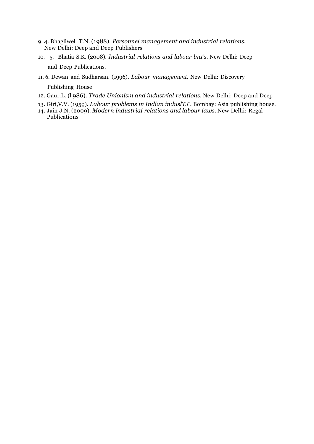- 9. 4. Bhagliwel .T.N. (1988). *Personnel management and industrial relations.* New Delhi: Deep and Deep Publishers
- 10. 5. Bhatia S.K. (2008). *Industrial relations and labour lm1's.* New Delhi: Deep and Deep Publications.
- 11. 6. Dewan and Sudharsan. (1996). *Labour management.* New Delhi: Discovery Publishing House
- 12. Gaur.L. (l 986). *Trade Unionism and industrial relations.* New Delhi: Deep and Deep
- 13. Giri,V.V. (1959). *Labour problems in Indian induslTJ'.* Bombay: Asia publishing house.
- 14. Jain J.N. (2009). *Modern industrial relations and labour laws.* New Delhi: Regal Publications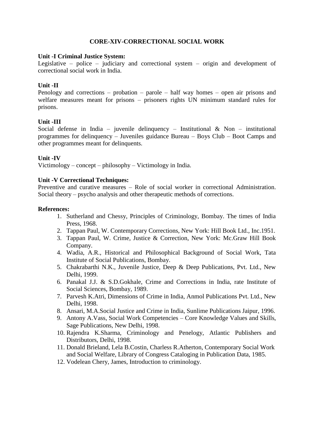## **CORE-XIV-CORRECTIONAL SOCIAL WORK**

#### **Unit -I Criminal Justice System:**

Legislative – police – judiciary and correctional system – origin and development of correctional social work in India.

#### **Unit -II**

Penology and corrections – probation – parole – half way homes – open air prisons and welfare measures meant for prisons – prisoners rights UN minimum standard rules for prisons.

#### **Unit -III**

Social defense in India – juvenile delinquency – Institutional  $\&$  Non – institutional programmes for delinquency – Juveniles guidance Bureau – Boys Club – Boot Camps and other programmes meant for delinquents.

## **Unit -IV**

Victimology – concept – philosophy – Victimology in India.

#### **Unit -V Correctional Techniques:**

Preventive and curative measures – Role of social worker in correctional Administration. Social theory – psycho analysis and other therapeutic methods of corrections.

#### **References:**

- 1. Sutherland and Chessy, Principles of Criminology, Bombay. The times of India Press, 1968.
- 2. Tappan Paul, W. Contemporary Corrections, New York: Hill Book Ltd., Inc.1951.
- 3. Tappan Paul, W. Crime, Justice & Correction, New York: Mc.Graw Hill Book Company.
- 4. Wadia, A.R., Historical and Philosophical Background of Social Work, Tata Institute of Social Publications, Bombay.
- 5. Chakrabarthi N.K., Juvenile Justice, Deep & Deep Publications, Pvt. Ltd., New Delhi, 1999.
- 6. Panakal J.J. & S.D.Gokhale, Crime and Corrections in India, rate Institute of Social Sciences, Bombay, 1989.
- 7. Parvesh K.Atri, Dimensions of Crime in India, Anmol Publications Pvt. Ltd., New Delhi, 1998.
- 8. Ansari, M.A.Social Justice and Crime in India, Sunlime Publications Jaipur, 1996.
- 9. Antony A.Vass, Social Work Competencies Core Knowledge Values and Skills, Sage Publications, New Delhi, 1998.
- 10. Rajendra K.Sharma, Criminology and Penelogy, Atlantic Publishers and Distributors, Delhi, 1998.
- 11. Donald Brieland, Lela B.Costin, Charless R.Atherton, Contemporary Social Work and Social Welfare, Library of Congress Cataloging in Publication Data, 1985.
- 12. Vodelean Chery, James, Introduction to criminology.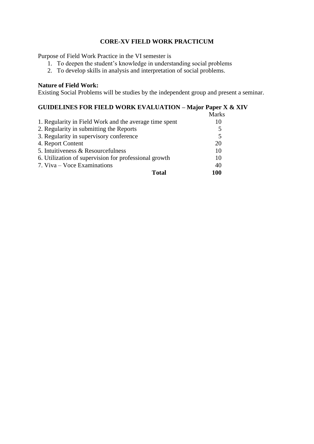# **CORE-XV FIELD WORK PRACTICUM**

Purpose of Field Work Practice in the VI semester is

- 1. To deepen the student's knowledge in understanding social problems
- 2. To develop skills in analysis and interpretation of social problems.

## **Nature of Field Work:**

Existing Social Problems will be studies by the independent group and present a seminar.

# **GUIDELINES FOR FIELD WORK EVALUATION – Major Paper X & XIV**

|                                                        | Marks |
|--------------------------------------------------------|-------|
| 1. Regularity in Field Work and the average time spent | 10    |
| 2. Regularity in submitting the Reports                |       |
| 3. Regularity in supervisory conference                | 5     |
| 4. Report Content                                      | 20    |
| 5. Intuitiveness & Resourcefulness                     | 10    |
| 6. Utilization of supervision for professional growth  | 10    |
| 7. Viva – Voce Examinations                            | 40    |
| Total                                                  | 100   |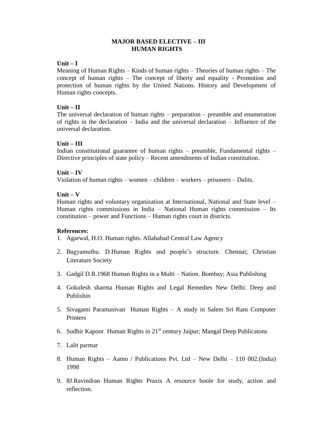#### **MAJOR BASED ELECTIVE – III HUMAN RIGHTS**

#### **Unit – I**

Meaning of Human Rights – Kinds of human rights – Theories of human rights – The concept of human rights – The concept of liberty and equality - Promotion and protection of human rights by the United Nations. History and Development of Human rights concepts.

#### **Unit – II**

The universal declaration of human rights – preparation – preamble and enumeration of rights in the declaration – India and the universal declaration – Influence of the universal declaration.

#### **Unit – III**

Indian constitutional guarantee of human rights – preamble, Fundamental rights – Directive principles of state policy – Recent amendments of Indian constitution.

#### **Unit – IV**

Violation of human rights – women – children – workers – prisoners – Dalits.

## **Unit – V**

Human rights and voluntary organization at International, National and State level – Human rights commissions in India – National Human rights commission – Its constitution – power and Functions – Human rights court in districts.

#### **References:**

- 1. Agarwal, H.O. Human rights. Allahabad Central Law Agency
- 2. Bagyamuthu. D.Human Rights and people's structure. Chennai; Christian Literature Society
- 3. Gadgil D.R.1968 Human Rights in a Multi Nation. Bombay; Asia Publishing
- 4. Gokulesh sharma Human Rights and Legal Remedies New Delhi: Deep and Publishin
- 5. Sivagami Paramasivan Human Rights A study in Salem Sri Ram Computer Printers
- 6. Sudhir Kapoor Human Rights in  $21<sup>st</sup>$  century Jaipur; Mangal Deep Publicatons
- 7. Lalit parmar
- 8. Human Rights Aamo / Publications Pvt. Ltd New Delhi 110 002.(India) 1998
- 9. 8J.Ravindran Human Rights Praxis A resource boole for study, action and reflection.